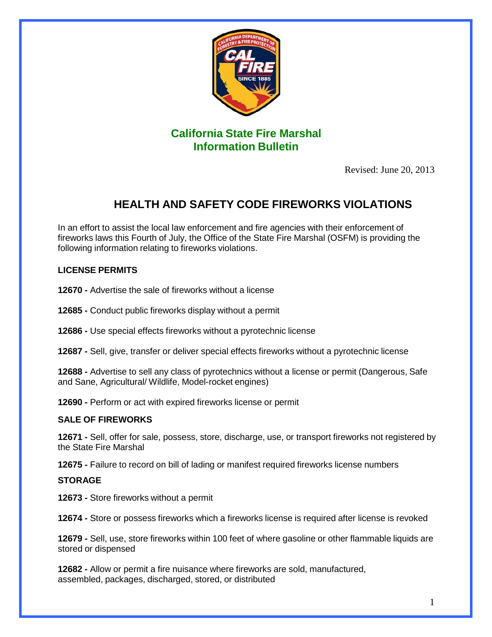

Revised: June 20, 2013

# **HEALTH AND SAFETY CODE FIREWORKS VIOLATIONS**

In an effort to assist the local law enforcement and fire agencies with their enforcement of fireworks laws this Fourth of July, the Office of the State Fire Marshal (OSFM) is providing the following information relating to fireworks violations.

## **LICENSE PERMITS**

**12670 -** Advertise the sale of fireworks without a license

**12685 -** Conduct public fireworks display without a permit

**12686 -** Use special effects fireworks without a pyrotechnic license

**12687 -** Sell, give, transfer or deliver special effects fireworks without a pyrotechnic license

**12688 -** Advertise to sell any class of pyrotechnics without a license or permit (Dangerous, Safe and Sane, Agricultural/ Wildlife, Model-rocket engines)

**12690 -** Perform or act with expired fireworks license or permit

### **SALE OF FIREWORKS**

**12671 -** Sell, offer for sale, possess, store, discharge, use, or transport fireworks not registered by the State Fire Marshal

**12675 -** Failure to record on bill of lading or manifest required fireworks license numbers

#### **STORAGE**

**12673 -** Store fireworks without a permit

**12674 -** Store or possess fireworks which a fireworks license is required after license is revoked

**12679 -** Sell, use, store fireworks within 100 feet of where gasoline or other flammable liquids are stored or dispensed

**12682 -** Allow or permit a fire nuisance where fireworks are sold, manufactured, assembled, packages, discharged, stored, or distributed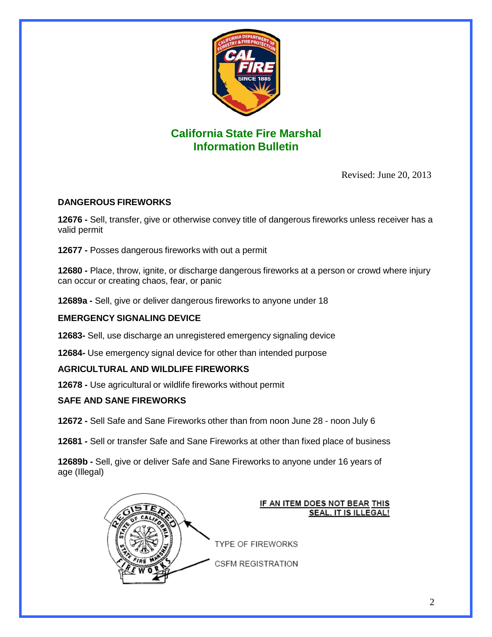

Revised: June 20, 2013

## **DANGEROUS FIREWORKS**

**12676 -** Sell, transfer, give or otherwise convey title of dangerous fireworks unless receiver has a valid permit

**12677 -** Posses dangerous fireworks with out a permit

**12680 -** Place, throw, ignite, or discharge dangerous fireworks at a person or crowd where injury can occur or creating chaos, fear, or panic

**12689a -** Sell, give or deliver dangerous fireworks to anyone under 18

## **EMERGENCY SIGNALING DEVICE**

**12683-** Sell, use discharge an unregistered emergency signaling device

**12684-** Use emergency signal device for other than intended purpose

### **AGRICULTURAL AND WILDLIFE FIREWORKS**

**12678 -** Use agricultural or wildlife fireworks without permit

### **SAFE AND SANE FIREWORKS**

**12672 -** Sell Safe and Sane Fireworks other than from noon June 28 - noon July 6

**12681 -** Sell or transfer Safe and Sane Fireworks at other than fixed place of business

**12689b -** Sell, give or deliver Safe and Sane Fireworks to anyone under 16 years of age (Illegal)



#### IF AN ITEM DOES NOT BEAR THIS **SEAL, IT IS ILLEGAL!**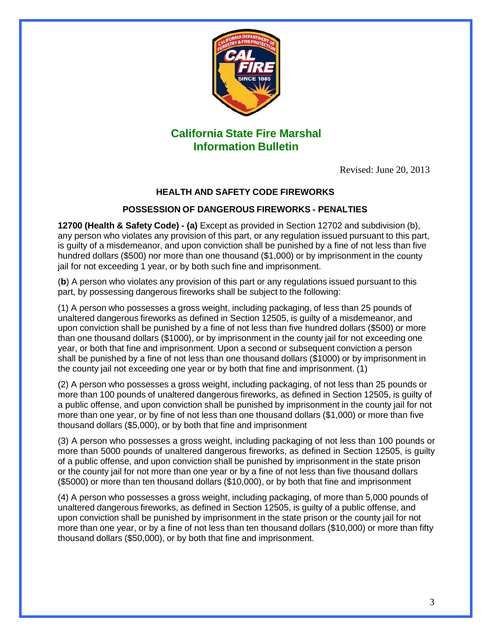

Revised: June 20, 2013

## **HEALTH AND SAFETY CODE FIREWORKS**

### **POSSESSION OF DANGEROUS FIREWORKS - PENALTIES**

**12700 (Health & Safety Code) - (a)** Except as provided in Section 12702 and subdivision (b), any person who violates any provision of this part, or any regulation issued pursuant to this part, is guilty of a misdemeanor, and upon conviction shall be punished by a fine of not less than five hundred dollars (\$500) nor more than one thousand (\$1,000) or by imprisonment in the county jail for not exceeding 1 year, or by both such fine and imprisonment.

(**b**) A person who violates any provision of this part or any regulations issued pursuant to this part, by possessing dangerous fireworks shall be subject to the following:

(1) A person who possesses a gross weight, including packaging, of less than 25 pounds of unaltered dangerous fireworks as defined in Section 12505, is guilty of a misdemeanor, and upon conviction shall be punished by a fine of not less than five hundred dollars (\$500) or more than one thousand dollars (\$1000), or by imprisonment in the county jail for not exceeding one year, or both that fine and imprisonment. Upon a second or subsequent conviction a person shall be punished by a fine of not less than one thousand dollars (\$1000) or by imprisonment in the county jail not exceeding one year or by both that fine and imprisonment. (1)

(2) A person who possesses a gross weight, including packaging, of not less than 25 pounds or more than 100 pounds of unaltered dangerous fireworks, as defined in Section 12505, is guilty of a public offense, and upon conviction shall be punished by imprisonment in the county jail for not more than one year, or by fine of not less than one thousand dollars (\$1,000) or more than five thousand dollars (\$5,000), or by both that fine and imprisonment

(3) A person who possesses a gross weight, including packaging of not less than 100 pounds or more than 5000 pounds of unaltered dangerous fireworks, as defined in Section 12505, is guilty of a public offense, and upon conviction shall be punished by imprisonment in the state prison or the county jail for not more than one year or by a fine of not less than five thousand dollars (\$5000) or more than ten thousand dollars (\$10,000), or by both that fine and imprisonment

(4) A person who possesses a gross weight, including packaging, of more than 5,000 pounds of unaltered dangerous fireworks, as defined in Section 12505, is guilty of a public offense, and upon conviction shall be punished by imprisonment in the state prison or the county jail for not more than one year, or by a fine of not less than ten thousand dollars (\$10,000) or more than fifty thousand dollars (\$50,000), or by both that fine and imprisonment.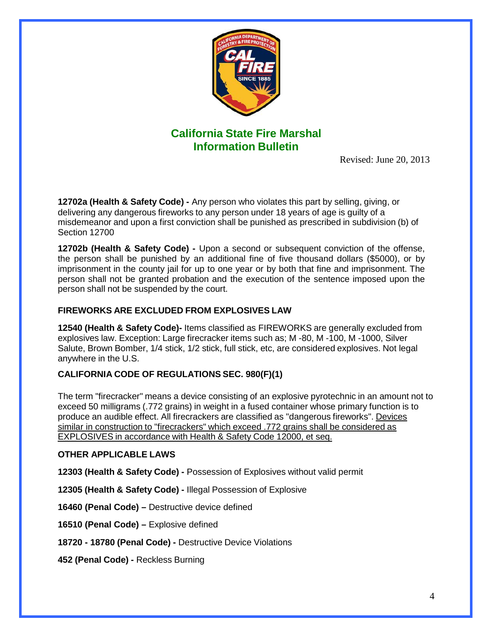

Revised: June 20, 2013

**12702a (Health & Safety Code) -** Any person who violates this part by selling, giving, or delivering any dangerous fireworks to any person under 18 years of age is guilty of a misdemeanor and upon a first conviction shall be punished as prescribed in subdivision (b) of Section 12700

**12702b (Health & Safety Code) -** Upon a second or subsequent conviction of the offense, the person shall be punished by an additional fine of five thousand dollars (\$5000), or by imprisonment in the county jail for up to one year or by both that fine and imprisonment. The person shall not be granted probation and the execution of the sentence imposed upon the person shall not be suspended by the court.

## **FIREWORKS ARE EXCLUDED FROM EXPLOSIVES LAW**

**12540 (Health & Safety Code)-** Items classified as FIREWORKS are generally excluded from explosives law. Exception: Large firecracker items such as; M -80, M -100, M -1000, Silver Salute, Brown Bomber, 1/4 stick, 1/2 stick, full stick, etc, are considered explosives. Not legal anywhere in the U.S.

### **CALIFORNIA CODE OF REGULATIONS SEC. 980(F)(1)**

The term "firecracker" means a device consisting of an explosive pyrotechnic in an amount not to exceed 50 milligrams (.772 grains) in weight in a fused container whose primary function is to produce an audible effect. All firecrackers are classified as "dangerous fireworks". Devices similar in construction to "firecrackers" which exceed .772 grains shall be considered as EXPLOSIVES in accordance with Health & Safety Code 12000, et seq.

### **OTHER APPLICABLE LAWS**

**12303 (Health & Safety Code) -** Possession of Explosives without valid permit

**12305 (Health & Safety Code) -** Illegal Possession of Explosive

**16460 (Penal Code) –** Destructive device defined

**16510 (Penal Code) –** Explosive defined

**18720 - 18780 (Penal Code) -** Destructive Device Violations

**452 (Penal Code) -** Reckless Burning